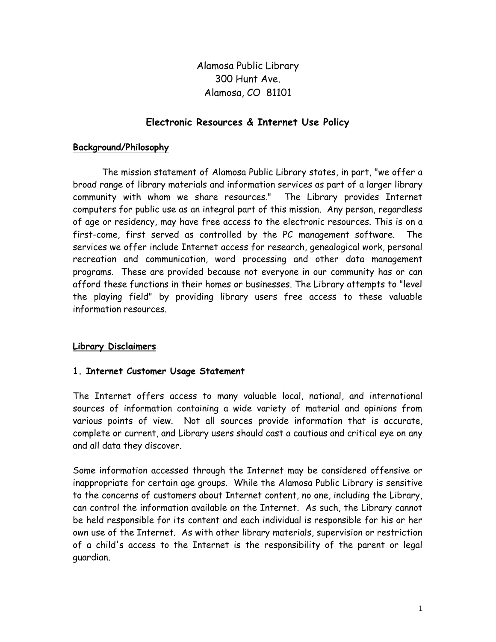Alamosa Public Library 300 Hunt Ave. Alamosa, CO 81101

#### **Electronic Resources & Internet Use Policy**

#### **Background/Philosophy**

The mission statement of Alamosa Public Library states, in part, "we offer a broad range of library materials and information services as part of a larger library community with whom we share resources." The Library provides Internet computers for public use as an integral part of this mission. Any person, regardless of age or residency, may have free access to the electronic resources. This is on a first-come, first served as controlled by the PC management software. The services we offer include Internet access for research, genealogical work, personal recreation and communication, word processing and other data management programs. These are provided because not everyone in our community has or can afford these functions in their homes or businesses. The Library attempts to "level the playing field" by providing library users free access to these valuable information resources.

#### **Library Disclaimers**

#### **1. Internet Customer Usage Statement**

The Internet offers access to many valuable local, national, and international sources of information containing a wide variety of material and opinions from various points of view. Not all sources provide information that is accurate, complete or current, and Library users should cast a cautious and critical eye on any and all data they discover.

Some information accessed through the Internet may be considered offensive or inappropriate for certain age groups. While the Alamosa Public Library is sensitive to the concerns of customers about Internet content, no one, including the Library, can control the information available on the Internet. As such, the Library cannot be held responsible for its content and each individual is responsible for his or her own use of the Internet. As with other library materials, supervision or restriction of a child's access to the Internet is the responsibility of the parent or legal guardian.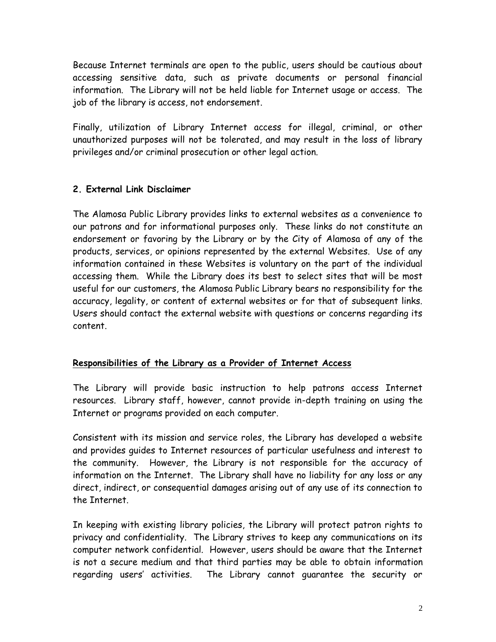Because Internet terminals are open to the public, users should be cautious about accessing sensitive data, such as private documents or personal financial information. The Library will not be held liable for Internet usage or access. The job of the library is access, not endorsement.

Finally, utilization of Library Internet access for illegal, criminal, or other unauthorized purposes will not be tolerated, and may result in the loss of library privileges and/or criminal prosecution or other legal action.

## **2. External Link Disclaimer**

The Alamosa Public Library provides links to external websites as a convenience to our patrons and for informational purposes only. These links do not constitute an endorsement or favoring by the Library or by the City of Alamosa of any of the products, services, or opinions represented by the external Websites. Use of any information contained in these Websites is voluntary on the part of the individual accessing them. While the Library does its best to select sites that will be most useful for our customers, the Alamosa Public Library bears no responsibility for the accuracy, legality, or content of external websites or for that of subsequent links. Users should contact the external website with questions or concerns regarding its content.

## **Responsibilities of the Library as a Provider of Internet Access**

The Library will provide basic instruction to help patrons access Internet resources. Library staff, however, cannot provide in-depth training on using the Internet or programs provided on each computer.

Consistent with its mission and service roles, the Library has developed a website and provides guides to Internet resources of particular usefulness and interest to the community. However, the Library is not responsible for the accuracy of information on the Internet. The Library shall have no liability for any loss or any direct, indirect, or consequential damages arising out of any use of its connection to the Internet.

In keeping with existing library policies, the Library will protect patron rights to privacy and confidentiality. The Library strives to keep any communications on its computer network confidential. However, users should be aware that the Internet is not a secure medium and that third parties may be able to obtain information regarding users' activities. The Library cannot guarantee the security or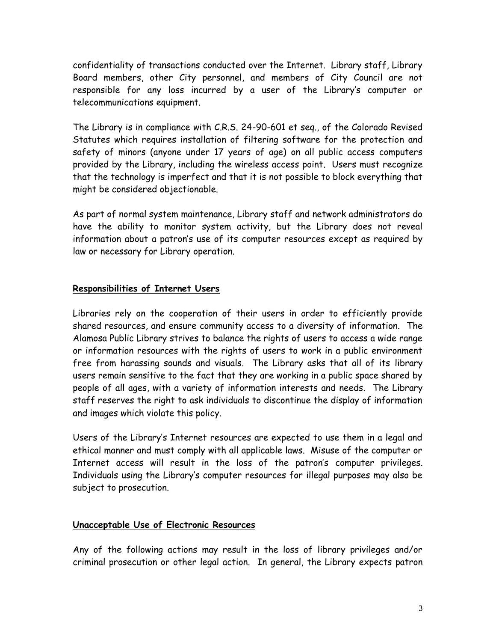confidentiality of transactions conducted over the Internet. Library staff, Library Board members, other City personnel, and members of City Council are not responsible for any loss incurred by a user of the Library's computer or telecommunications equipment.

The Library is in compliance with C.R.S. 24-90-601 et seq., of the Colorado Revised Statutes which requires installation of filtering software for the protection and safety of minors (anyone under 17 years of age) on all public access computers provided by the Library, including the wireless access point. Users must recognize that the technology is imperfect and that it is not possible to block everything that might be considered objectionable.

As part of normal system maintenance, Library staff and network administrators do have the ability to monitor system activity, but the Library does not reveal information about a patron's use of its computer resources except as required by law or necessary for Library operation.

### **Responsibilities of Internet Users**

Libraries rely on the cooperation of their users in order to efficiently provide shared resources, and ensure community access to a diversity of information. The Alamosa Public Library strives to balance the rights of users to access a wide range or information resources with the rights of users to work in a public environment free from harassing sounds and visuals. The Library asks that all of its library users remain sensitive to the fact that they are working in a public space shared by people of all ages, with a variety of information interests and needs. The Library staff reserves the right to ask individuals to discontinue the display of information and images which violate this policy.

Users of the Library's Internet resources are expected to use them in a legal and ethical manner and must comply with all applicable laws. Misuse of the computer or Internet access will result in the loss of the patron's computer privileges. Individuals using the Library's computer resources for illegal purposes may also be subject to prosecution.

#### **Unacceptable Use of Electronic Resources**

Any of the following actions may result in the loss of library privileges and/or criminal prosecution or other legal action. In general, the Library expects patron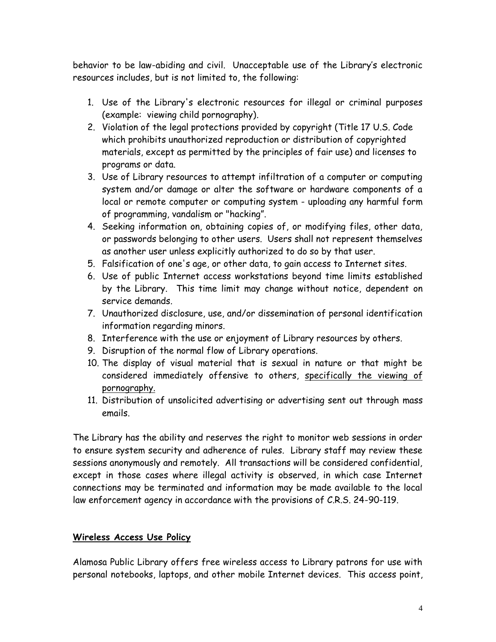behavior to be law-abiding and civil. Unacceptable use of the Library's electronic resources includes, but is not limited to, the following:

- 1. Use of the Library's electronic resources for illegal or criminal purposes (example: viewing child pornography).
- 2. Violation of the legal protections provided by copyright (Title 17 U.S. Code which prohibits unauthorized reproduction or distribution of copyrighted materials, except as permitted by the principles of fair use) and licenses to programs or data.
- 3. Use of Library resources to attempt infiltration of a computer or computing system and/or damage or alter the software or hardware components of a local or remote computer or computing system - uploading any harmful form of programming, vandalism or "hacking".
- 4. Seeking information on, obtaining copies of, or modifying files, other data, or passwords belonging to other users. Users shall not represent themselves as another user unless explicitly authorized to do so by that user.
- 5. Falsification of one's age, or other data, to gain access to Internet sites.
- 6. Use of public Internet access workstations beyond time limits established by the Library. This time limit may change without notice, dependent on service demands.
- 7. Unauthorized disclosure, use, and/or dissemination of personal identification information regarding minors.
- 8. Interference with the use or enjoyment of Library resources by others.
- 9. Disruption of the normal flow of Library operations.
- 10. The display of visual material that is sexual in nature or that might be considered immediately offensive to others, specifically the viewing of pornography.
- 11. Distribution of unsolicited advertising or advertising sent out through mass emails.

The Library has the ability and reserves the right to monitor web sessions in order to ensure system security and adherence of rules. Library staff may review these sessions anonymously and remotely. All transactions will be considered confidential, except in those cases where illegal activity is observed, in which case Internet connections may be terminated and information may be made available to the local law enforcement agency in accordance with the provisions of C.R.S. 24-90-119.

## **Wireless Access Use Policy**

Alamosa Public Library offers free wireless access to Library patrons for use with personal notebooks, laptops, and other mobile Internet devices. This access point,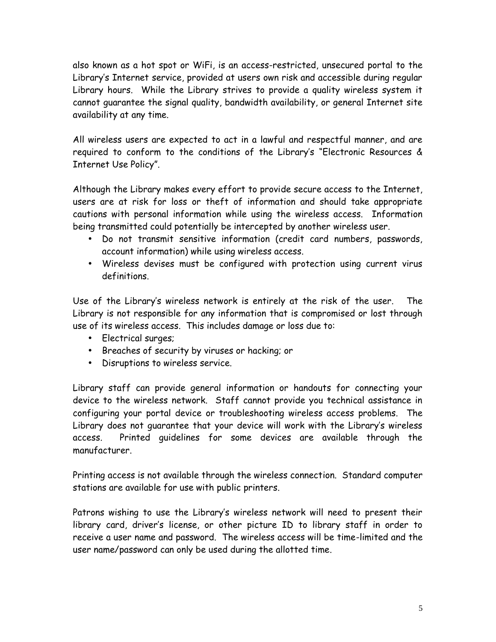also known as a hot spot or WiFi, is an access-restricted, unsecured portal to the Library's Internet service, provided at users own risk and accessible during regular Library hours. While the Library strives to provide a quality wireless system it cannot guarantee the signal quality, bandwidth availability, or general Internet site availability at any time.

All wireless users are expected to act in a lawful and respectful manner, and are required to conform to the conditions of the Library's "Electronic Resources & Internet Use Policy".

Although the Library makes every effort to provide secure access to the Internet, users are at risk for loss or theft of information and should take appropriate cautions with personal information while using the wireless access. Information being transmitted could potentially be intercepted by another wireless user.

- Do not transmit sensitive information (credit card numbers, passwords, account information) while using wireless access.
- Wireless devises must be configured with protection using current virus definitions.

Use of the Library's wireless network is entirely at the risk of the user. The Library is not responsible for any information that is compromised or lost through use of its wireless access. This includes damage or loss due to:

- Electrical surges;
- Breaches of security by viruses or hacking; or
- Disruptions to wireless service.

Library staff can provide general information or handouts for connecting your device to the wireless network. Staff cannot provide you technical assistance in configuring your portal device or troubleshooting wireless access problems. The Library does not guarantee that your device will work with the Library's wireless access. Printed guidelines for some devices are available through the manufacturer.

Printing access is not available through the wireless connection. Standard computer stations are available for use with public printers.

Patrons wishing to use the Library's wireless network will need to present their library card, driver's license, or other picture ID to library staff in order to receive a user name and password. The wireless access will be time-limited and the user name/password can only be used during the allotted time.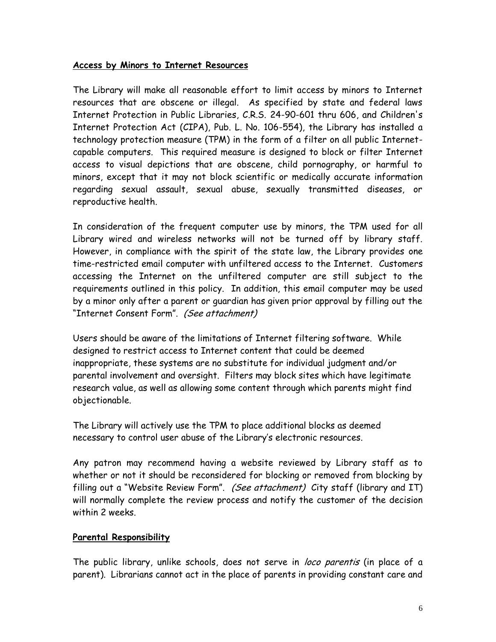#### **Access by Minors to Internet Resources**

The Library will make all reasonable effort to limit access by minors to Internet resources that are obscene or illegal. As specified by state and federal laws Internet Protection in Public Libraries, C.R.S. 24-90-601 thru 606, and Children's Internet Protection Act (CIPA), Pub. L. No. 106-554), the Library has installed a technology protection measure (TPM) in the form of a filter on all public Internet capable computers. This required measure is designed to block or filter Internet access to visual depictions that are obscene, child pornography, or harmful to minors, except that it may not block scientific or medically accurate information regarding sexual assault, sexual abuse, sexually transmitted diseases, or reproductive health.

In consideration of the frequent computer use by minors, the TPM used for all Library wired and wireless networks will not be turned off by library staff. However, in compliance with the spirit of the state law, the Library provides one time-restricted email computer with unfiltered access to the Internet. Customers accessing the Internet on the unfiltered computer are still subject to the requirements outlined in this policy. In addition, this email computer may be used by a minor only after a parent or guardian has given prior approval by filling out the "Internet Consent Form". *(See attachment)*

Users should be aware of the limitations of Internet filtering software. While designed to restrict access to Internet content that could be deemed inappropriate, these systems are no substitute for individual judgment and/or parental involvement and oversight. Filters may block sites which have legitimate research value, as well as allowing some content through which parents might find objectionable.

The Library will actively use the TPM to place additional blocks as deemed necessary to control user abuse of the Library's electronic resources.

Any patron may recommend having a website reviewed by Library staff as to whether or not it should be reconsidered for blocking or removed from blocking by filling out a "Website Review Form". *(See attachment)* City staff (library and IT) will normally complete the review process and notify the customer of the decision within 2 weeks.

#### **Parental Responsibility**

The public library, unlike schools, does not serve in *loco parentis* (in place of a parent). Librarians cannot act in the place of parents in providing constant care and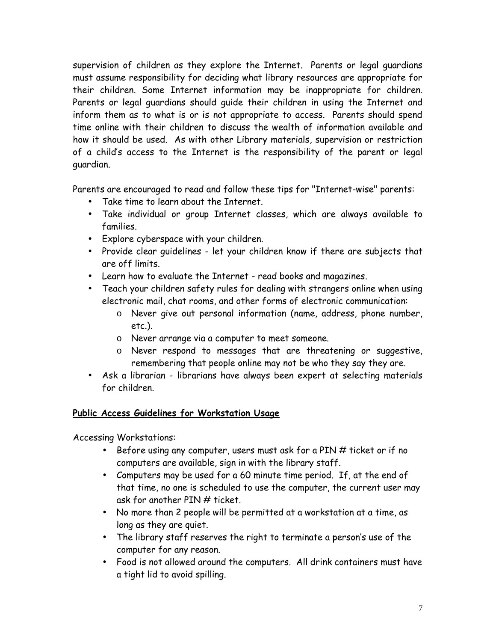supervision of children as they explore the Internet. Parents or legal guardians must assume responsibility for deciding what library resources are appropriate for their children. Some Internet information may be inappropriate for children. Parents or legal guardians should guide their children in using the Internet and inform them as to what is or is not appropriate to access. Parents should spend time online with their children to discuss the wealth of information available and how it should be used. As with other Library materials, supervision or restriction of a child's access to the Internet is the responsibility of the parent or legal guardian.

Parents are encouraged to read and follow these tips for "Internet-wise" parents:

- Take time to learn about the Internet.
- Take individual or group Internet classes, which are always available to families.
- Explore cyberspace with your children.
- Provide clear guidelines let your children know if there are subjects that are off limits.
- Learn how to evaluate the Internet read books and magazines.
- Teach your children safety rules for dealing with strangers online when using electronic mail, chat rooms, and other forms of electronic communication:
	- o Never give out personal information (name, address, phone number, etc.).
	- o Never arrange via a computer to meet someone.
	- o Never respond to messages that are threatening or suggestive, remembering that people online may not be who they say they are.
- Ask a librarian librarians have always been expert at selecting materials for children.

## **Public Access Guidelines for Workstation Usage**

Accessing Workstations:

- Before using any computer, users must ask for a PIN # ticket or if no computers are available, sign in with the library staff.
- Computers may be used for a 60 minute time period. If, at the end of that time, no one is scheduled to use the computer, the current user may ask for another PIN # ticket.
- No more than 2 people will be permitted at a workstation at a time, as long as they are quiet.
- The library staff reserves the right to terminate a person's use of the computer for any reason.
- Food is not allowed around the computers. All drink containers must have a tight lid to avoid spilling.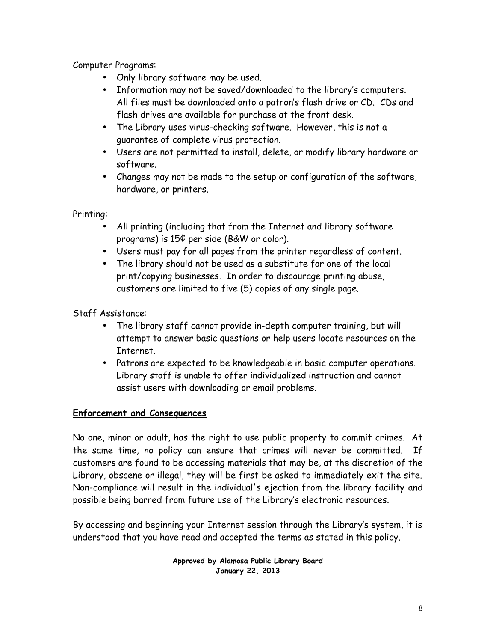Computer Programs:

- Only library software may be used.
- Information may not be saved/downloaded to the library's computers. All files must be downloaded onto a patron's flash drive or CD. CDs and flash drives are available for purchase at the front desk.
- The Library uses virus-checking software. However, this is not a guarantee of complete virus protection.
- Users are not permitted to install, delete, or modify library hardware or software.
- Changes may not be made to the setup or configuration of the software, hardware, or printers.

Printing:

- All printing (including that from the Internet and library software programs) is 15¢ per side (B&W or color).
- Users must pay for all pages from the printer regardless of content.
- The library should not be used as a substitute for one of the local print/copying businesses. In order to discourage printing abuse, customers are limited to five (5) copies of any single page.

Staff Assistance:

- The library staff cannot provide in-depth computer training, but will attempt to answer basic questions or help users locate resources on the Internet.
- Patrons are expected to be knowledgeable in basic computer operations. Library staff is unable to offer individualized instruction and cannot assist users with downloading or email problems.

# **Enforcement and Consequences**

No one, minor or adult, has the right to use public property to commit crimes. At the same time, no policy can ensure that crimes will never be committed. If customers are found to be accessing materials that may be, at the discretion of the Library, obscene or illegal, they will be first be asked to immediately exit the site. Non-compliance will result in the individual's ejection from the library facility and possible being barred from future use of the Library's electronic resources.

By accessing and beginning your Internet session through the Library's system, it is understood that you have read and accepted the terms as stated in this policy.

> **Approved by Alamosa Public Library Board January 22, 2013**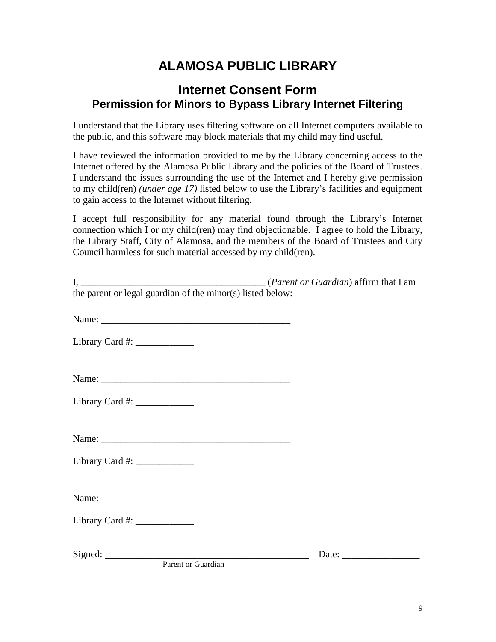# **ALAMOSA PUBLIC LIBRARY**

# **Internet Consent Form Permission for Minors to Bypass Library Internet Filtering**

I understand that the Library uses filtering software on all Internet computers available to the public, and this software may block materials that my child may find useful.

I have reviewed the information provided to me by the Library concerning access to the Internet offered by the Alamosa Public Library and the policies of the Board of Trustees. I understand the issues surrounding the use of the Internet and I hereby give permission to my child(ren) *(under age 17)* listed below to use the Library's facilities and equipment to gain access to the Internet without filtering.

I accept full responsibility for any material found through the Library's Internet connection which I or my child(ren) may find objectionable. I agree to hold the Library, the Library Staff, City of Alamosa, and the members of the Board of Trustees and City Council harmless for such material accessed by my child(ren).

| the parent or legal guardian of the minor(s) listed below: |                                                          |
|------------------------------------------------------------|----------------------------------------------------------|
|                                                            |                                                          |
| Library Card #: $\frac{1}{2}$                              |                                                          |
|                                                            |                                                          |
| Library Card #: $\frac{1}{2}$                              |                                                          |
|                                                            |                                                          |
| Library Card #: $\frac{1}{2}$                              |                                                          |
|                                                            |                                                          |
| Library Card #: $\frac{1}{2}$                              |                                                          |
|                                                            | Date: $\frac{1}{\sqrt{1-\frac{1}{2}} \cdot \frac{1}{2}}$ |
| Parent or Guardian                                         |                                                          |